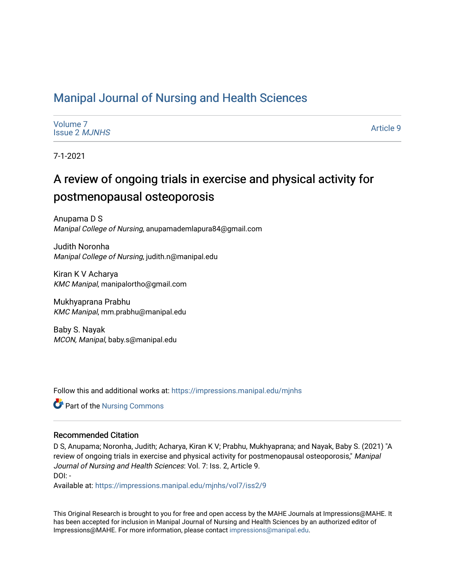# [Manipal Journal of Nursing and Health Sciences](https://impressions.manipal.edu/mjnhs)

| Volume 7             |  |
|----------------------|--|
| <b>Issue 2 MJNHS</b> |  |

[Article 9](https://impressions.manipal.edu/mjnhs/vol7/iss2/9) 

7-1-2021

# A review of ongoing trials in exercise and physical activity for postmenopausal osteoporosis

Anupama D S Manipal College of Nursing, anupamademlapura84@gmail.com

Judith Noronha Manipal College of Nursing, judith.n@manipal.edu

Kiran K V Acharya KMC Manipal, manipalortho@gmail.com

Mukhyaprana Prabhu KMC Manipal, mm.prabhu@manipal.edu

Baby S. Nayak MCON, Manipal, baby.s@manipal.edu

Follow this and additional works at: [https://impressions.manipal.edu/mjnhs](https://impressions.manipal.edu/mjnhs?utm_source=impressions.manipal.edu%2Fmjnhs%2Fvol7%2Fiss2%2F9&utm_medium=PDF&utm_campaign=PDFCoverPages) 

**C** Part of the Nursing Commons

### Recommended Citation

D S, Anupama; Noronha, Judith; Acharya, Kiran K V; Prabhu, Mukhyaprana; and Nayak, Baby S. (2021) "A review of ongoing trials in exercise and physical activity for postmenopausal osteoporosis," Manipal Journal of Nursing and Health Sciences: Vol. 7: Iss. 2, Article 9. DOI: -

Available at: [https://impressions.manipal.edu/mjnhs/vol7/iss2/9](https://impressions.manipal.edu/mjnhs/vol7/iss2/9?utm_source=impressions.manipal.edu%2Fmjnhs%2Fvol7%2Fiss2%2F9&utm_medium=PDF&utm_campaign=PDFCoverPages) 

This Original Research is brought to you for free and open access by the MAHE Journals at Impressions@MAHE. It has been accepted for inclusion in Manipal Journal of Nursing and Health Sciences by an authorized editor of Impressions@MAHE. For more information, please contact [impressions@manipal.edu](mailto:impressions@manipal.edu).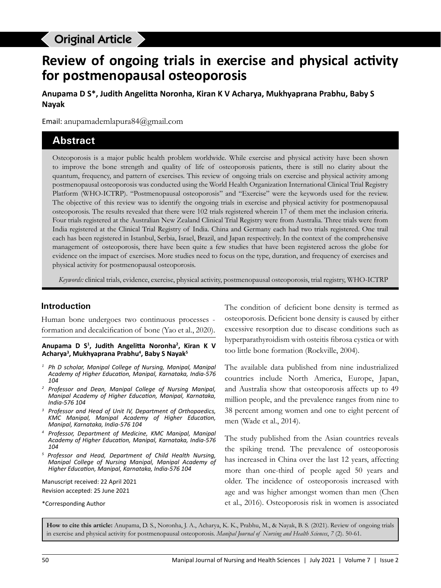# **Original Article and physical activity for postmenon property for postmenon**

# **Review of ongoing trials in exercise and physical activity for postmenopausal osteoporosis**

**Anupama D S\*, Judith Angelitta Noronha, Kiran K V Acharya, Mukhyaprana Prabhu, Baby S Nayak**

Email: anupamademlapura84@gmail.com

## **Abstract**

Osteoporosis is a major public health problem worldwide. While exercise and physical activity have been shown to improve the bone strength and quality of life of osteoporosis patients, there is still no clarity about the quantum, frequency, and pattern of exercises. This review of ongoing trials on exercise and physical activity among postmenopausal osteoporosis was conducted using the World Health Organization International Clinical Trial Registry Platform (WHO-ICTRP). "Postmenopausal osteoporosis" and "Exercise" were the keywords used for the review. The objective of this review was to identify the ongoing trials in exercise and physical activity for postmenopausal osteoporosis. The results revealed that there were 102 trials registered wherein 17 of them met the inclusion criteria. Four trials registered at the Australian New Zealand Clinical Trial Registry were from Australia. Three trials were from India registered at the Clinical Trial Registry of India. China and Germany each had two trials registered. One trail each has been registered in Istanbul, Serbia, Israel, Brazil, and Japan respectively. In the context of the comprehensive management of osteoporosis, there have been quite a few studies that have been registered across the globe for evidence on the impact of exercises. More studies need to focus on the type, duration, and frequency of exercises and physical activity for postmenopausal osteoporosis.

*Keywords:* clinical trials, evidence, exercise, physical activity, postmenopausal osteoporosis, trial registry, WHO-ICTRP

#### **Introduction**

Human bone undergoes two continuous processes formation and decalcification of bone (Yao et al., 2020).

#### **Anupama D S1 , Judith Angelitta Noronha<sup>2</sup> , Kiran K V Acharya<sup>3</sup> , Mukhyaprana Prabhu<sup>4</sup> , Baby S Nayak<sup>5</sup>**

- *<sup>1</sup> Ph D scholar, Manipal College of Nursing, Manipal, Manipal Academy of Higher Education, Manipal, Karnataka, India-576 104*
- *<sup>2</sup> Professor and Dean, Manipal College of Nursing Manipal, Manipal Academy of Higher Education, Manipal, Karnataka, India-576 104*
- *<sup>3</sup> Professor and Head of Unit IV, Department of Orthopaedics, KMC Manipal, Manipal Academy of Higher Education, Manipal, Karnataka, India-576 104*
- *<sup>4</sup> Professor, Department of Medicine, KMC Manipal, Manipal Academy of Higher Education, Manipal, Karnataka, India-576 104*
- *5 Professor and Head, Department of Child Health Nursing, Manipal College of Nursing Manipal, Manipal Academy of Higher Education, Manipal, Karnataka, India-576 104*

Manuscript received: 22 April 2021 Revision accepted: 25 June 2021

\*Corresponding Author

The condition of deficient bone density is termed as osteoporosis. Deficient bone density is caused by either excessive resorption due to disease conditions such as hyperparathyroidism with osteitis fibrosa cystica or with too little bone formation (Rockville, 2004).

The available data published from nine industrialized countries include North America, Europe, Japan, and Australia show that osteoporosis affects up to 49 million people, and the prevalence ranges from nine to 38 percent among women and one to eight percent of men (Wade et al., 2014).

The study published from the Asian countries reveals the spiking trend. The prevalence of osteoporosis has increased in China over the last 12 years, affecting more than one-third of people aged 50 years and older. The incidence of osteoporosis increased with age and was higher amongst women than men (Chen et al., 2016). Osteoporosis risk in women is associated

**How to cite this article:** Anupama, D. S., Noronha, J. A., Acharya, K. K., Prabhu, M., & Nayak, B. S. (2021). Review of ongoing trials in exercise and physical activity for postmenopausal osteoporosis. *Manipal Journal of Nursing and Health Sciences*, *7* (2). 50-61.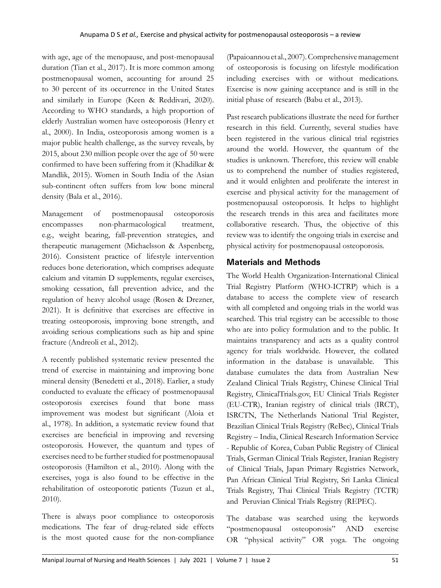with age, age of the menopause, and post-menopausal duration (Tian et al., 2017). It is more common among postmenopausal women, accounting for around 25 to 30 percent of its occurrence in the United States and similarly in Europe (Keen & Reddivari, 2020). According to WHO standards, a high proportion of elderly Australian women have osteoporosis (Henry et al., 2000). In India, osteoporosis among women is a major public health challenge, as the survey reveals, by 2015, about 230 million people over the age of 50 were confirmed to have been suffering from it (Khadilkar & Mandlik, 2015). Women in South India of the Asian sub-continent often suffers from low bone mineral density (Bala et al., 2016).

Management of postmenopausal osteoporosis encompasses non-pharmacological treatment, e.g., weight bearing, fall-prevention strategies, and therapeutic management (Michaelsson & Aspenberg, 2016). Consistent practice of lifestyle intervention reduces bone deterioration, which comprises adequate calcium and vitamin D supplements, regular exercises, smoking cessation, fall prevention advice, and the regulation of heavy alcohol usage (Rosen & Drezner, 2021). It is definitive that exercises are effective in treating osteoporosis, improving bone strength, and avoiding serious complications such as hip and spine fracture (Andreoli et al., 2012).

A recently published systematic review presented the trend of exercise in maintaining and improving bone mineral density (Benedetti et al., 2018). Earlier, a study conducted to evaluate the efficacy of postmenopausal osteoporosis exercises found that bone mass improvement was modest but significant (Aloia et al., 1978). In addition, a systematic review found that exercises are beneficial in improving and reversing osteoporosis. However, the quantum and types of exercises need to be further studied for postmenopausal osteoporosis (Hamilton et al., 2010). Along with the exercises, yoga is also found to be effective in the rehabilitation of osteoporotic patients (Tuzun et al., 2010).

There is always poor compliance to osteoporosis medications. The fear of drug-related side effects is the most quoted cause for the non-compliance

(Papaioannou et al., 2007). Comprehensive management of osteoporosis is focusing on lifestyle modification including exercises with or without medications. Exercise is now gaining acceptance and is still in the initial phase of research (Babu et al., 2013).

Past research publications illustrate the need for further research in this field. Currently, several studies have been registered in the various clinical trial registries around the world. However, the quantum of the studies is unknown. Therefore, this review will enable us to comprehend the number of studies registered, and it would enlighten and proliferate the interest in exercise and physical activity for the management of postmenopausal osteoporosis. It helps to highlight the research trends in this area and facilitates more collaborative research. Thus, the objective of this review was to identify the ongoing trials in exercise and physical activity for postmenopausal osteoporosis.

## **Materials and Methods**

The World Health Organization-International Clinical Trial Registry Platform (WHO-ICTRP) which is a database to access the complete view of research with all completed and ongoing trials in the world was searched. This trial registry can be accessible to those who are into policy formulation and to the public. It maintains transparency and acts as a quality control agency for trials worldwide. However, the collated information in the database is unavailable. This database cumulates the data from Australian New Zealand Clinical Trials Registry, Chinese Clinical Trial Registry, ClinicalTrials.gov, EU Clinical Trials Register (EU-CTR), Iranian registry of clinical trials (IRCT), ISRCTN, The Netherlands National Trial Register, Brazilian Clinical Trials Registry (ReBec), Clinical Trials Registry – India, Clinical Research Information Service - Republic of Korea, Cuban Public Registry of Clinical Trials, German Clinical Trials Register, Iranian Registry of Clinical Trials, Japan Primary Registries Network, Pan African Clinical Trial Registry, Sri Lanka Clinical Trials Registry, Thai Clinical Trials Registry (TCTR) and Peruvian Clinical Trials Registry (REPEC).

The database was searched using the keywords "postmenopausal osteoporosis" AND exercise OR "physical activity" OR yoga. The ongoing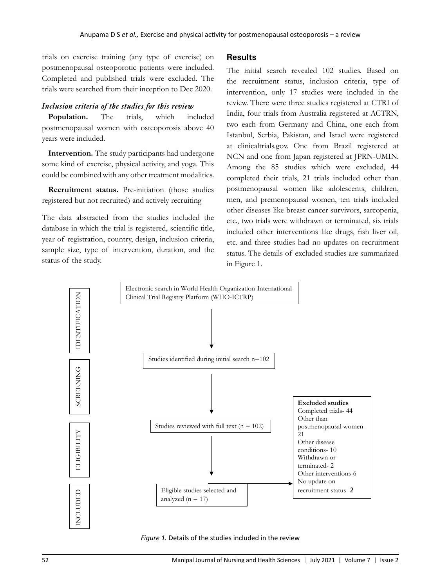trials on exercise training (any type of exercise) on postmenopausal osteoporotic patients were included. Completed and published trials were excluded. The trials were searched from their inception to Dec 2020.

#### *Inclusion criteria of the studies for this review*

**Population.** The trials, which included postmenopausal women with osteoporosis above 40 years were included.

**Intervention.** The study participants had undergone some kind of exercise, physical activity, and yoga. This could be combined with any other treatment modalities.

**Recruitment status.** Pre-initiation (those studies registered but not recruited) and actively recruiting

The data abstracted from the studies included the database in which the trial is registered, scientific title, year of registration, country, design, inclusion criteria, sample size, type of intervention, duration, and the status of the study.

#### **Results**

The initial search revealed 102 studies. Based on the recruitment status, inclusion criteria, type of intervention, only 17 studies were included in the review. There were three studies registered at CTRI of India, four trials from Australia registered at ACTRN, two each from Germany and China, one each from Istanbul, Serbia, Pakistan, and Israel were registered at clinicaltrials.gov. One from Brazil registered at NCN and one from Japan registered at JPRN-UMIN. Among the 85 studies which were excluded, 44 completed their trials, 21 trials included other than postmenopausal women like adolescents, children, men, and premenopausal women, ten trials included other diseases like breast cancer survivors, sarcopenia, etc., two trials were withdrawn or terminated, six trials included other interventions like drugs, fish liver oil, etc. and three studies had no updates on recruitment status. The details of excluded studies are summarized in Figure 1.



*Figure 1.* Details of the studies included in the review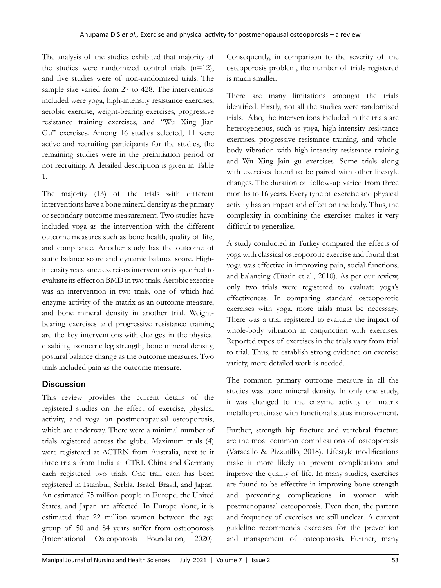The analysis of the studies exhibited that majority of the studies were randomized control trials (n=12), and five studies were of non-randomized trials. The sample size varied from 27 to 428. The interventions included were yoga, high-intensity resistance exercises, aerobic exercise, weight-bearing exercises, progressive resistance training exercises, and "Wu Xing Jian Gu" exercises. Among 16 studies selected, 11 were active and recruiting participants for the studies, the remaining studies were in the preinitiation period or not recruiting. A detailed description is given in Table 1.

The majority (13) of the trials with different interventions have a bone mineral density as the primary or secondary outcome measurement. Two studies have included yoga as the intervention with the different outcome measures such as bone health, quality of life, and compliance. Another study has the outcome of static balance score and dynamic balance score. Highintensity resistance exercises intervention is specified to evaluate its effect on BMD in two trials. Aerobic exercise was an intervention in two trials, one of which had enzyme activity of the matrix as an outcome measure, and bone mineral density in another trial. Weightbearing exercises and progressive resistance training are the key interventions with changes in the physical disability, isometric leg strength, bone mineral density, postural balance change as the outcome measures. Two trials included pain as the outcome measure.

### **Discussion**

This review provides the current details of the registered studies on the effect of exercise, physical activity, and yoga on postmenopausal osteoporosis, which are underway. There were a minimal number of trials registered across the globe. Maximum trials (4) were registered at ACTRN from Australia, next to it three trials from India at CTRI. China and Germany each registered two trials. One trail each has been registered in Istanbul, Serbia, Israel, Brazil, and Japan. An estimated 75 million people in Europe, the United States, and Japan are affected. In Europe alone, it is estimated that 22 million women between the age group of 50 and 84 years suffer from osteoporosis (International Osteoporosis Foundation, 2020).

Consequently, in comparison to the severity of the osteoporosis problem, the number of trials registered is much smaller.

There are many limitations amongst the trials identified. Firstly, not all the studies were randomized trials. Also, the interventions included in the trials are heterogeneous, such as yoga, high-intensity resistance exercises, progressive resistance training, and wholebody vibration with high-intensity resistance training and Wu Xing Jain gu exercises. Some trials along with exercises found to be paired with other lifestyle changes. The duration of follow-up varied from three months to 16 years. Every type of exercise and physical activity has an impact and effect on the body. Thus, the complexity in combining the exercises makes it very difficult to generalize.

A study conducted in Turkey compared the effects of yoga with classical osteoporotic exercise and found that yoga was effective in improving pain, social functions, and balancing (Tüzün et al., 2010). As per our review, only two trials were registered to evaluate yoga's effectiveness. In comparing standard osteoporotic exercises with yoga, more trials must be necessary. There was a trial registered to evaluate the impact of whole-body vibration in conjunction with exercises. Reported types of exercises in the trials vary from trial to trial. Thus, to establish strong evidence on exercise variety, more detailed work is needed.

The common primary outcome measure in all the studies was bone mineral density. In only one study, it was changed to the enzyme activity of matrix metalloproteinase with functional status improvement.

Further, strength hip fracture and vertebral fracture are the most common complications of osteoporosis (Varacallo & Pizzutillo, 2018). Lifestyle modifications make it more likely to prevent complications and improve the quality of life. In many studies, exercises are found to be effective in improving bone strength and preventing complications in women with postmenopausal osteoporosis. Even then, the pattern and frequency of exercises are still unclear. A current guideline recommends exercises for the prevention and management of osteoporosis. Further, many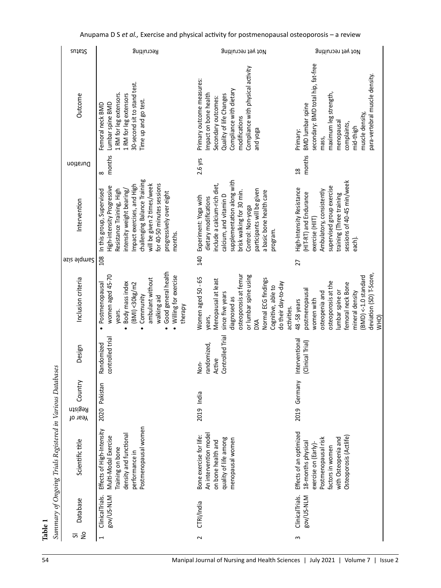| sutate                        | Recruiting                                                                                                                                                                                                                                                                         | Not yet recruiting                                                                                                                                                                                                                                             | Not yet recruiting                                                                                                                                                                                            |
|-------------------------------|------------------------------------------------------------------------------------------------------------------------------------------------------------------------------------------------------------------------------------------------------------------------------------|----------------------------------------------------------------------------------------------------------------------------------------------------------------------------------------------------------------------------------------------------------------|---------------------------------------------------------------------------------------------------------------------------------------------------------------------------------------------------------------|
| Outcome                       | 30-second sit to stand test.<br>1 RM for leg extensors.<br>1 RM for leg extensors<br>Time up and go test.<br>Lumbar spine BMD<br>Femoral neck BMD                                                                                                                                  | Compliance with physical activity<br>Primary outcome measures:<br>Compliance with dietary<br>Impact on bone health<br>Quality of life Changes<br>Secondary outcomes:<br>modifications<br>and yoga                                                              | secondary: BMD total hip, fat-free<br>para-vertebral muscle density.<br>maximum leg strength,<br><b>BMD</b> lumbar spine<br>muscle density,<br>menopausal<br>complaints,<br>mid-thigh<br>Primary:<br>mass,    |
| Duration                      | months<br>$\infty$                                                                                                                                                                                                                                                                 | 2.6 yrs                                                                                                                                                                                                                                                        | months<br>$\frac{8}{18}$                                                                                                                                                                                      |
| Intervention                  | challenging Balance Training<br>for 40-50 minutes sessions<br>will be given 2 times/week<br>Impact exercises, and High<br>High-intensity Progressive<br>In this group, Supervised<br>Resistance Training, High<br>intensity weight bearing/<br>progressively over eight<br>months. | supplementation along with<br>include a calcium-rich diet,<br>participants will be given<br>a basic bone health care<br>brisk walking for 30 min.<br>calcium, and vitamin D<br>Experiment: Yoga with<br>dietary modifications<br>Control: Non-yoga<br>program. | sessions of 40-45 min/week<br>supervised group exercise<br>High-Intensity Resistance<br>Ambulatory, consistently<br>(HIT-RT) and Endurance<br>training (Three training<br>exercise (HIT)<br>each).            |
| <b>azis alqmue?</b>           | 108                                                                                                                                                                                                                                                                                | 140                                                                                                                                                                                                                                                            | 27                                                                                                                                                                                                            |
| Inclusion criteria            | Good general health<br>women aged 45-70<br>Willing for exercise<br>ambulant without<br>Body mass index<br>Postmenopausal<br>(BMI) < 30 kg/m2<br>Community<br>walking aid<br>therapy<br>years.<br>$\bullet$<br>$\bullet$<br>$\bullet$<br>$\bullet$                                  | osteoporosis at femur<br>or lumbar spine using<br>Women aged 50 - 65<br>Normal ECG findings<br>Menopausal at least<br>do their day-to-day<br>Cognitive, able to<br>since five years<br>diagnosed as<br>activities.<br>years,<br><b>DXA</b>                     | deviation (SD) T-Score,<br>$(BMD) < -1.0$ standard<br>osteoporosis at the<br>femoral neck Bone<br>postmenopausal<br>lumbar spine or<br>mineral density<br>osteopenia and<br>women with<br>48-58 years<br>WHO) |
| Design                        | controlled trial<br>Randomized                                                                                                                                                                                                                                                     | Controlled Trial<br>randomized,<br>Active<br>Non-                                                                                                                                                                                                              | Interventional<br>(Clinical Trial)                                                                                                                                                                            |
| Country<br>Registn<br>Year of | 2020 Pakistan                                                                                                                                                                                                                                                                      | 2019 India                                                                                                                                                                                                                                                     | Germany<br>2019                                                                                                                                                                                               |
| Scientific title              | Postmenopausal women<br>Effects of High-Intensity<br>density and functional<br>Multi-Modal Exercise<br>Training on bone<br>performance in                                                                                                                                          | An intervention model<br>Bone exercise for life:<br>quality of life among<br>menopausal women<br>on bone health and                                                                                                                                            | Effects of an optimized<br>Osteoporosis (Actlife)<br>with Osteopenia and<br>Postmenopausal risk<br>18-months physical<br>exercise on (Early)-<br>factors in women                                             |
| <b>Database</b>               | ClinicalTrials.<br>Bov/US-NLM                                                                                                                                                                                                                                                      | CTRI/India                                                                                                                                                                                                                                                     | ClinicalTrials.<br>Bov/US-NLM                                                                                                                                                                                 |
| $\epsilon$<br>5               | $\overline{ }$                                                                                                                                                                                                                                                                     | $\sim$                                                                                                                                                                                                                                                         | 3                                                                                                                                                                                                             |

## Anupama D S *et al.,* Exercise and physical activity for postmenopausal osteoporosis – a review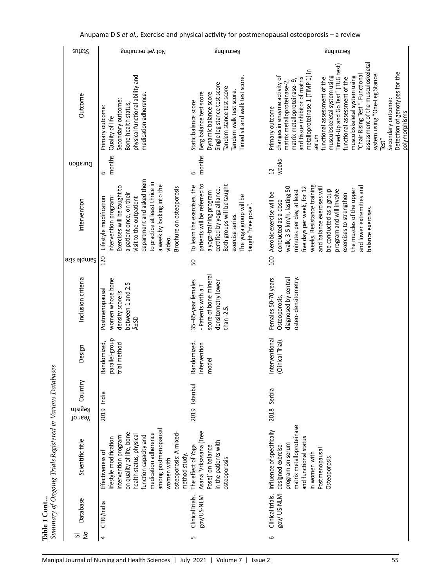| <b>sutate</b>                 | Not yet recruiting                                                                                                                                                                                                                                                       | Recruiting                                                                                                                                                                                                               | Recruiting                                                                                                                                                                                                                                                                                                                                                                                                                                                                                                |                                                 |
|-------------------------------|--------------------------------------------------------------------------------------------------------------------------------------------------------------------------------------------------------------------------------------------------------------------------|--------------------------------------------------------------------------------------------------------------------------------------------------------------------------------------------------------------------------|-----------------------------------------------------------------------------------------------------------------------------------------------------------------------------------------------------------------------------------------------------------------------------------------------------------------------------------------------------------------------------------------------------------------------------------------------------------------------------------------------------------|-------------------------------------------------|
| Outcome                       | physical functional ability and<br>medication adherence.<br>Secondary outcome:<br>Bone health status,<br>Primary outcome:<br>Quality of life                                                                                                                             | Timed sit and walk test score.<br>Single leg stance test score<br>landem stance test score<br>Tandem walk test score.<br>Berg balance test score<br>Dynamic balance score<br>Static balance score                        | assessment of the musculoskeletal<br>Timed-Up and Go Test" (TUG test)<br>metalloproteinase 1 (TIMP-1) in<br>system using "One-Leg Stance<br>"Chair Rising Test". Functional<br>musculoskeletal system using<br>musculoskeletal system using<br>changes in enzyme activity of<br>functional assessment of the<br>unctional assessment of the<br>and tissue inhibitor of matrix<br>matrix metalloproteinase-9,<br>matrix metalloproteinase-2,<br>Secondary outcome:<br>Primary outcome<br>serum<br>Test $"$ | Detection of genotypes for the<br>polymorphisms |
| Duration                      | months<br>9                                                                                                                                                                                                                                                              | months<br>9                                                                                                                                                                                                              | weeks<br>$\overline{c}$                                                                                                                                                                                                                                                                                                                                                                                                                                                                                   |                                                 |
| Intervention                  | department and asked them<br>to practice at least thrice in<br>a week by looking into the<br>Exercises will be taught to<br>Brochure on osteoporosis<br>a patient once, on their<br>intervention program:<br>visit to the outpatient<br>Lifestyle modification<br>video. | patients will be referred to<br>Both groups will be taught<br>To learn the exercises, the<br>certified by yoga alliance.<br>a yoga-training program<br>The yoga group will be<br>taught "tree pose".<br>exercise series. | weeks. Resistance training<br>and lower extremities and<br>walk, 3-5 km/h, lasting 50<br>and balance exercises will<br>five days per week, for 12<br>the muscles of the upper<br>minutes per day, at least<br>program and will involve<br>be conducted as a group<br>Aerobic exercise will be<br>exercises to strengthen<br>conducted as a dose<br>balance exercises.                                                                                                                                     |                                                 |
| <b>azis alqmue?</b>           | 120                                                                                                                                                                                                                                                                      | 50                                                                                                                                                                                                                       | 100                                                                                                                                                                                                                                                                                                                                                                                                                                                                                                       |                                                 |
| Inclusion criteria            | women whose bone<br>between 1 and 2.5<br>Postmenopausal<br>density score is<br>±SD                                                                                                                                                                                       | score of bone mineral<br>35-85-year females<br>densitometry lower<br>- Patients with a T<br>than -2.5.                                                                                                                   | osteo-densitometry.<br>diagnosed by central<br>Females 50-70 years<br>Osteoporosis,                                                                                                                                                                                                                                                                                                                                                                                                                       |                                                 |
| Design                        | parallel-group<br>Randomized,<br>trial method                                                                                                                                                                                                                            | Randomized.<br>Intervention<br>model                                                                                                                                                                                     | Interventional<br>(Clinical Trial).                                                                                                                                                                                                                                                                                                                                                                                                                                                                       |                                                 |
| Country<br>Registn<br>Year of | 2019 India                                                                                                                                                                                                                                                               | Istanbul<br>2019                                                                                                                                                                                                         | Serbia<br>2018                                                                                                                                                                                                                                                                                                                                                                                                                                                                                            |                                                 |
| Scientific title              | among postmenopausal<br>osteoporosis: A mixed-<br>on quality of life, bone<br>medication adherence<br>health status, physical<br>function capacity and<br>intervention program<br>lifestyle modification<br>Effectiveness of<br>method study.<br>women with              | (Tree<br>in the patients with<br>Asana 'Vrksasana<br>The effect of Yoga<br>Pose)' on balance<br>osteoporosis                                                                                                             | matrix metalloproteinase<br>Influence of specifically<br>and functional status<br>program on serum<br>designed exercise<br>Postmenopausal<br>in women with<br>Osteoporosis.                                                                                                                                                                                                                                                                                                                               |                                                 |
| Database                      | CTRI/India                                                                                                                                                                                                                                                               | Bov/US-NLM<br>ClinicalTrials.                                                                                                                                                                                            | Bov/US-NLM<br>Clinical trials.                                                                                                                                                                                                                                                                                                                                                                                                                                                                            |                                                 |
| $\frac{1}{2}$<br>5            | 4                                                                                                                                                                                                                                                                        | LŊ                                                                                                                                                                                                                       | 9                                                                                                                                                                                                                                                                                                                                                                                                                                                                                                         |                                                 |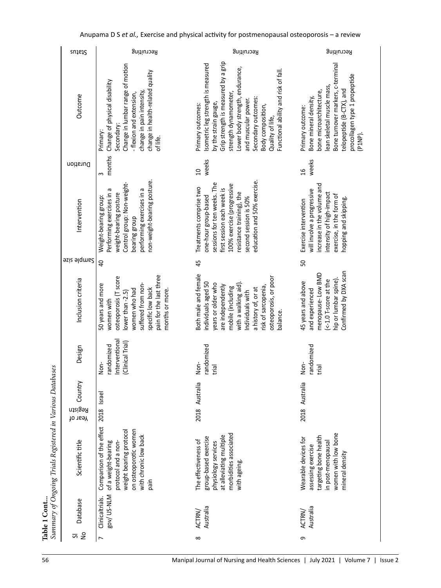| sutate                        | Recruiting                                                                                                                                                                                           | Recruiting                                                                                                                                                                                                                                                                                                        | Recruiting                                                                                                                                                                                                      |
|-------------------------------|------------------------------------------------------------------------------------------------------------------------------------------------------------------------------------------------------|-------------------------------------------------------------------------------------------------------------------------------------------------------------------------------------------------------------------------------------------------------------------------------------------------------------------|-----------------------------------------------------------------------------------------------------------------------------------------------------------------------------------------------------------------|
| Outcome                       | Change in lumbar range of motion<br>change in health-related quality<br>Change of physical disability<br>change in pain intensity,<br>- flexion and extension,<br>Secondary:<br>Primary:<br>of life. | Grip strength is measured by a grip<br>Isometric leg strength is measured<br>Lower body strength, endurance,<br>Functional ability and risk of fall.<br>strength dynamometer,<br>Secondary outcomes:<br>and muscular power.<br>by the strain gauge,<br>Primary outcomes:<br>Body composition,<br>Quality of life, | Bone turnover markers, c-terminal<br>procollagen type 1 propeptide<br>lean skeletal muscle mass,<br>telopeptide (B-CTX), and<br>bone microarchitecture,<br>Bone mineral density,<br>Primary outcome:<br>(P1NP). |
| Duration                      | months<br>$\infty$                                                                                                                                                                                   | weeks<br>$\Omega$                                                                                                                                                                                                                                                                                                 | weeks<br>16                                                                                                                                                                                                     |
| Intervention                  | non-weight-bearing posture.<br>Control group: Non-weight-<br>performing exercises in a<br>Performing exercises in a<br>weight-bearing posture<br>Weight-bearing group:<br>bearing group              | education and 50% exercise.<br>sessions for ten weeks. The<br>100% exercise (progressive<br>Treatments comprise two<br>first session each week is<br>resistance training), the<br>one-hour group-based<br>second session is 50%                                                                                   | increase in the volume and<br>will involve a progressive<br>intensity of high-impact<br>exercise, in the form of<br>hopping and skipping.<br>Exercise intervention                                              |
| <b>Sample size</b>            | $\overline{a}$                                                                                                                                                                                       | 45                                                                                                                                                                                                                                                                                                                | 50                                                                                                                                                                                                              |
| Inclusion criteria            | pain for the last three<br>osteoporosis (T score<br>50 years and more<br>suffered from non-<br>specific low back<br>women who had<br>months or more.<br>lower than -2.5)<br>women with               | Both male and female<br>osteoporosis, or poor<br>individuals aged 50<br>years or older who<br>with a walking aid)<br>are independently<br>risk of sarcopenia,<br>mobile (including<br>a history of, or at<br>Individuals with<br>balance.                                                                         | Confirmed by DXA scan<br>menopause-Low BMD<br>hip or lumbar spine).<br>$(-1.0$ T-score at the<br>45 years and above<br>and experienced                                                                          |
| Design                        | Interventional<br>(Clinical Trial)<br>randomized<br>Non-                                                                                                                                             | randomized<br>Non-<br>trial                                                                                                                                                                                                                                                                                       | randomized<br>Non-<br>trial                                                                                                                                                                                     |
| Country<br>Registn<br>Year of | 2018 Israel                                                                                                                                                                                          | 2018 Australia                                                                                                                                                                                                                                                                                                    | Australia<br>2018                                                                                                                                                                                               |
| Scientific title              | Comparison of the effect<br>on osteoporotic women<br>weight bearing protocol<br>with chronic low back<br>of a weight-bearing<br>protocol and a non-<br>pain                                          | morbidities associated<br>at alleviating multiple<br>group-based exercise<br>The effectiveness of<br>physiology services<br>with ageing.                                                                                                                                                                          | women with low bone<br>targeting bone health<br>Wearable devices for<br>in post-menopausal<br>assessing exercise<br>mineral density                                                                             |
| Database                      | Bov/ US-NLM<br>Clinicaltrials.                                                                                                                                                                       | Australia<br>ACTRN/                                                                                                                                                                                                                                                                                               | Australia<br>ACTRN/                                                                                                                                                                                             |
| $\frac{1}{2}$<br>ᠳ            | $\overline{ }$                                                                                                                                                                                       | $\infty$                                                                                                                                                                                                                                                                                                          | Ō                                                                                                                                                                                                               |

Anupama D S *et al.,* Exercise and physical activity for postmenopausal osteoporosis – a review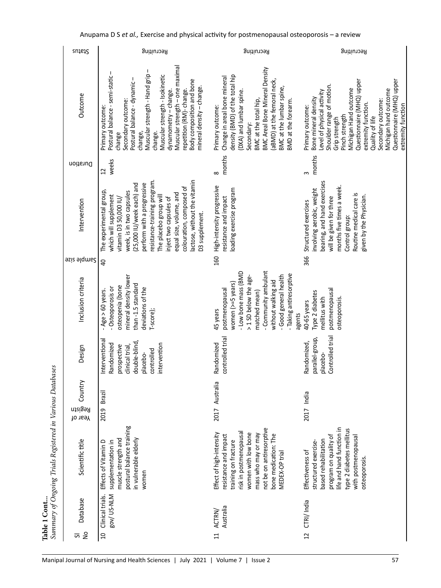| Muscular strength - one maximal<br><b>BMC Areal Bone Mineral Density</b><br>J.<br>Postural balance - semi-static -<br>Muscular strength - Hand grip<br>Muscular strength - Isokinetic<br>density (BMD) of the total hip<br>Change in areal bone mineral<br>Postural balance - dynamic -<br>Body composition and bone<br>(aBMD) at the femoral neck,<br>Questionnaire (MHQ) upper<br>Questionnaire (MHQ) upper<br>Shoulder range of motion.<br>mineral density - change.<br>BMC at the lumbar spine,<br>Michigan Hand outcome<br>Michigan hand outcome<br>repetition (RM)-change.<br>dynamometry - change.<br>Level of physical activity<br>(DXA) and lumbar spine.<br>Outcome<br>Bone mineral density<br>BMC at the total hip,<br>Secondary outcome:<br>BMD at the forearm.<br>Secondary outcome:<br>extremity function.<br>Primary outcome:<br>Primary outcome:<br>Primary outcome:<br>Pinch strength<br>Quality of life<br>Grip strength<br>Secondary:<br>change,<br>change.<br>change<br>months<br>months<br>weeks<br>Duration<br>$\overline{c}$<br>$\infty$<br>$\infty$<br>lactose, without the vitamin<br>resistance-training program.<br>bearing, and hand exercises<br>(25,000 IU/week each) and<br>perform with a progressive<br>High-intensity progressive<br>months five times a week.<br>colouration, composed of<br>involving aerobic, weight<br>loading exercise program<br>The experimental group,<br>week, is in two capsules<br>equal size, volume, and<br>Routine medical care is<br>given by the Physician.<br>which will supplement<br>The placebo group will<br>resistance and impact<br>will be given for three<br>inject two capsules of<br>vitamin D3 50,000 IU/<br>Intervention<br>Structured exercises<br>D3 supplement.<br>Control group:<br>160<br>366<br><b>Sample size</b><br>$\overline{a}$<br>- Community ambulant<br>- Low bone mass (BMD<br>- Taking antiresorptive<br>mineral density lower<br>Good general health<br>> 1 SD below the age-<br>Inclusion criteria<br>without walking aid<br>women (>=5 years)<br>than-1.5 standard<br>osteopenia (bone<br>- Osteoporosis or<br>deviations of the<br>postmenopausal<br>postmenopausal<br>$-Age > 60$ years.<br>Type 2 diabetes<br>matched mean)<br>mellitus with<br>osteoporosis.<br>40-65 years<br>T-score);<br>45 years<br>agents<br>Controlled trial<br>controlled trial<br>parallel-group,<br>Interventional<br>double-blind<br>Randomized,<br>Randomized<br>Randomized<br>intervention<br>prospective<br>clinical trial,<br>Design<br>controlled<br>placebo-<br>placebo-<br>Country<br>2017 Australia<br>Brazil<br>2017 India<br>Registn<br>2019<br>Year of<br>postural balance training<br>not be on antiresorptive<br>life and hand function in<br>type 2 diabetes mellitus<br>risk in postmenopausal<br>women with low bone<br>Effect of high-intensity<br>mass who may or may<br>bone medication: The<br>resistance and impact<br>program on quality of<br>with postmenopausal<br>muscle strength and<br>in vulnerable elderly<br>based rehabilitation<br>Scientific title<br>training on fracture<br>Effects of Vitamin D<br>supplementation in<br>structured exercise-<br>Effectiveness of<br>MEDEX-OP trial<br>osteoporosis.<br>women<br>Bov/US-NLM<br>Clinical trials.<br><b>Database</b><br>CTRI/India<br>Australia<br>ACTRN/<br>$\tilde{z}$<br>$\overline{a}$<br>$\overline{1}$<br>$\overline{11}$<br>ज | sutate | Recruiting | Recruiting | Recruiting         |
|---------------------------------------------------------------------------------------------------------------------------------------------------------------------------------------------------------------------------------------------------------------------------------------------------------------------------------------------------------------------------------------------------------------------------------------------------------------------------------------------------------------------------------------------------------------------------------------------------------------------------------------------------------------------------------------------------------------------------------------------------------------------------------------------------------------------------------------------------------------------------------------------------------------------------------------------------------------------------------------------------------------------------------------------------------------------------------------------------------------------------------------------------------------------------------------------------------------------------------------------------------------------------------------------------------------------------------------------------------------------------------------------------------------------------------------------------------------------------------------------------------------------------------------------------------------------------------------------------------------------------------------------------------------------------------------------------------------------------------------------------------------------------------------------------------------------------------------------------------------------------------------------------------------------------------------------------------------------------------------------------------------------------------------------------------------------------------------------------------------------------------------------------------------------------------------------------------------------------------------------------------------------------------------------------------------------------------------------------------------------------------------------------------------------------------------------------------------------------------------------------------------------------------------------------------------------------------------------------------------------------------------------------------------------------------------------------------------------------------------------------------------------------------------------------------------------------------------------------------------------------------------------------------------------------------------------------------------------------------------------------------------------------------------------------------------------------------------------------------------------------------------------------------------------------------------------------------------------------------------------------------------------------------------------------------------------------------------------------------------------------------------------------------|--------|------------|------------|--------------------|
|                                                                                                                                                                                                                                                                                                                                                                                                                                                                                                                                                                                                                                                                                                                                                                                                                                                                                                                                                                                                                                                                                                                                                                                                                                                                                                                                                                                                                                                                                                                                                                                                                                                                                                                                                                                                                                                                                                                                                                                                                                                                                                                                                                                                                                                                                                                                                                                                                                                                                                                                                                                                                                                                                                                                                                                                                                                                                                                                                                                                                                                                                                                                                                                                                                                                                                                                                                                                         |        |            |            | extremity function |
|                                                                                                                                                                                                                                                                                                                                                                                                                                                                                                                                                                                                                                                                                                                                                                                                                                                                                                                                                                                                                                                                                                                                                                                                                                                                                                                                                                                                                                                                                                                                                                                                                                                                                                                                                                                                                                                                                                                                                                                                                                                                                                                                                                                                                                                                                                                                                                                                                                                                                                                                                                                                                                                                                                                                                                                                                                                                                                                                                                                                                                                                                                                                                                                                                                                                                                                                                                                                         |        |            |            |                    |
|                                                                                                                                                                                                                                                                                                                                                                                                                                                                                                                                                                                                                                                                                                                                                                                                                                                                                                                                                                                                                                                                                                                                                                                                                                                                                                                                                                                                                                                                                                                                                                                                                                                                                                                                                                                                                                                                                                                                                                                                                                                                                                                                                                                                                                                                                                                                                                                                                                                                                                                                                                                                                                                                                                                                                                                                                                                                                                                                                                                                                                                                                                                                                                                                                                                                                                                                                                                                         |        |            |            |                    |
|                                                                                                                                                                                                                                                                                                                                                                                                                                                                                                                                                                                                                                                                                                                                                                                                                                                                                                                                                                                                                                                                                                                                                                                                                                                                                                                                                                                                                                                                                                                                                                                                                                                                                                                                                                                                                                                                                                                                                                                                                                                                                                                                                                                                                                                                                                                                                                                                                                                                                                                                                                                                                                                                                                                                                                                                                                                                                                                                                                                                                                                                                                                                                                                                                                                                                                                                                                                                         |        |            |            |                    |
|                                                                                                                                                                                                                                                                                                                                                                                                                                                                                                                                                                                                                                                                                                                                                                                                                                                                                                                                                                                                                                                                                                                                                                                                                                                                                                                                                                                                                                                                                                                                                                                                                                                                                                                                                                                                                                                                                                                                                                                                                                                                                                                                                                                                                                                                                                                                                                                                                                                                                                                                                                                                                                                                                                                                                                                                                                                                                                                                                                                                                                                                                                                                                                                                                                                                                                                                                                                                         |        |            |            |                    |
|                                                                                                                                                                                                                                                                                                                                                                                                                                                                                                                                                                                                                                                                                                                                                                                                                                                                                                                                                                                                                                                                                                                                                                                                                                                                                                                                                                                                                                                                                                                                                                                                                                                                                                                                                                                                                                                                                                                                                                                                                                                                                                                                                                                                                                                                                                                                                                                                                                                                                                                                                                                                                                                                                                                                                                                                                                                                                                                                                                                                                                                                                                                                                                                                                                                                                                                                                                                                         |        |            |            |                    |
|                                                                                                                                                                                                                                                                                                                                                                                                                                                                                                                                                                                                                                                                                                                                                                                                                                                                                                                                                                                                                                                                                                                                                                                                                                                                                                                                                                                                                                                                                                                                                                                                                                                                                                                                                                                                                                                                                                                                                                                                                                                                                                                                                                                                                                                                                                                                                                                                                                                                                                                                                                                                                                                                                                                                                                                                                                                                                                                                                                                                                                                                                                                                                                                                                                                                                                                                                                                                         |        |            |            |                    |
|                                                                                                                                                                                                                                                                                                                                                                                                                                                                                                                                                                                                                                                                                                                                                                                                                                                                                                                                                                                                                                                                                                                                                                                                                                                                                                                                                                                                                                                                                                                                                                                                                                                                                                                                                                                                                                                                                                                                                                                                                                                                                                                                                                                                                                                                                                                                                                                                                                                                                                                                                                                                                                                                                                                                                                                                                                                                                                                                                                                                                                                                                                                                                                                                                                                                                                                                                                                                         |        |            |            |                    |
|                                                                                                                                                                                                                                                                                                                                                                                                                                                                                                                                                                                                                                                                                                                                                                                                                                                                                                                                                                                                                                                                                                                                                                                                                                                                                                                                                                                                                                                                                                                                                                                                                                                                                                                                                                                                                                                                                                                                                                                                                                                                                                                                                                                                                                                                                                                                                                                                                                                                                                                                                                                                                                                                                                                                                                                                                                                                                                                                                                                                                                                                                                                                                                                                                                                                                                                                                                                                         |        |            |            |                    |
|                                                                                                                                                                                                                                                                                                                                                                                                                                                                                                                                                                                                                                                                                                                                                                                                                                                                                                                                                                                                                                                                                                                                                                                                                                                                                                                                                                                                                                                                                                                                                                                                                                                                                                                                                                                                                                                                                                                                                                                                                                                                                                                                                                                                                                                                                                                                                                                                                                                                                                                                                                                                                                                                                                                                                                                                                                                                                                                                                                                                                                                                                                                                                                                                                                                                                                                                                                                                         |        |            |            |                    |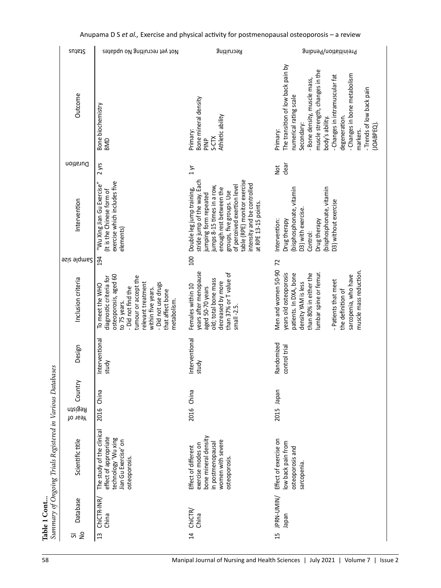| sutate                        | Not yet recruiting No updates                                                                                                                                                                                                           | Recruiting                                                                                                                                                                                                                                                                                    | Preinitiation/Pending                                                                                                                                                                                                                                                                                                  |
|-------------------------------|-----------------------------------------------------------------------------------------------------------------------------------------------------------------------------------------------------------------------------------------|-----------------------------------------------------------------------------------------------------------------------------------------------------------------------------------------------------------------------------------------------------------------------------------------------|------------------------------------------------------------------------------------------------------------------------------------------------------------------------------------------------------------------------------------------------------------------------------------------------------------------------|
| Outcome                       | Bone biochemistry<br>awa                                                                                                                                                                                                                | Bone mineral density<br>Athletic ability<br>Primary:<br>S-CTX<br>PINP <sub>2</sub>                                                                                                                                                                                                            | The transition of low back pain by<br>muscle strength, changes in the<br>- Changes in bone metabolism<br>- Changes in intramuscular fat<br>- Bone density, muscle mass,<br>- Trends of low back pain<br>numerical rating scale<br>degeneration.<br>body's ability.<br>(JOABPEQ).<br>Secondary:<br>markers.<br>Primary: |
| Duration                      | $2$ yrs                                                                                                                                                                                                                                 | $1 \vee r$                                                                                                                                                                                                                                                                                    | clear<br><b>Not</b>                                                                                                                                                                                                                                                                                                    |
| Intervention                  | exercise which includes five<br>"Wu Xing Jian Gu Exercise"<br>(It is the Chinese form of<br>elements)                                                                                                                                   | table (RPE) monitor exercise<br>stride jump of the way. Each<br>intensity and be controlled<br>of perceived exertion level<br>jumps 8-15 times in a row,<br>enough rest between the<br>Double leg jump training,<br>groups, five groups. Use<br>jumping form repeated<br>at RPE 13-15 points. | (bisphosphonate, vitamin<br>(bisphosphonate, vitamin<br>D3) without exercise<br>D3) with exercise.<br>Drug therapy<br>Intervention:<br>Drug therapy<br>Control:                                                                                                                                                        |
| Sample aize                   | 194                                                                                                                                                                                                                                     | 100                                                                                                                                                                                                                                                                                           | 72                                                                                                                                                                                                                                                                                                                     |
| Inclusion criteria            | osteoporosis, aged 60<br>tumour or accept the<br>diagnostic criteria for<br>relevant treatment<br>- Did not use drugs<br>To meet the WHO<br>- Did not find the<br>within five years.<br>that affect bone<br>metabolism.<br>to 75 years. | years after menopause<br>than 37% or T value of<br>old; total bone mass<br>decreased by more<br>Females within 10<br>aged 50-70 years<br>$small -2.5.$                                                                                                                                        | Men and women 50-90<br>muscle mass reduction.<br>years old osteoporosis<br>patients. In DXA, bone<br>lumbar spine or femur.<br>than 80% in either the<br>sarcopenia, who have<br>- Patients that meet<br>density YAM is less<br>the definition of                                                                      |
| Design                        | Interventional<br>study                                                                                                                                                                                                                 | Interventional<br>study                                                                                                                                                                                                                                                                       | Randomized<br>control trial                                                                                                                                                                                                                                                                                            |
| Country<br>Registn<br>Year of | 2016 China                                                                                                                                                                                                                              | China<br>2016                                                                                                                                                                                                                                                                                 | 2015 Japan                                                                                                                                                                                                                                                                                                             |
| Scientific title              | The study of the clinical<br>effect of appropriate<br>technology 'Wu xing<br>Jian Gu Exercise' on<br>osteoporosis.                                                                                                                      | bone mineral density<br>women with severe<br>in postmenopausal<br>exercise modes on<br>Effect of different<br>osteoporosis.                                                                                                                                                                   | Effect of exercise on<br>low back pain from<br>osteoporosis and<br>sarcopenia.                                                                                                                                                                                                                                         |
| <b>Database</b>               | ChiCTR-INR/<br>China                                                                                                                                                                                                                    | ChicTR/<br>China                                                                                                                                                                                                                                                                              | JPRN-UMIN/<br>neder                                                                                                                                                                                                                                                                                                    |
| $\geq$<br>ᇬ                   | 13                                                                                                                                                                                                                                      | $\overline{1}$                                                                                                                                                                                                                                                                                | 15                                                                                                                                                                                                                                                                                                                     |

## Anupama D S *et al.,* Exercise and physical activity for postmenopausal osteoporosis – a review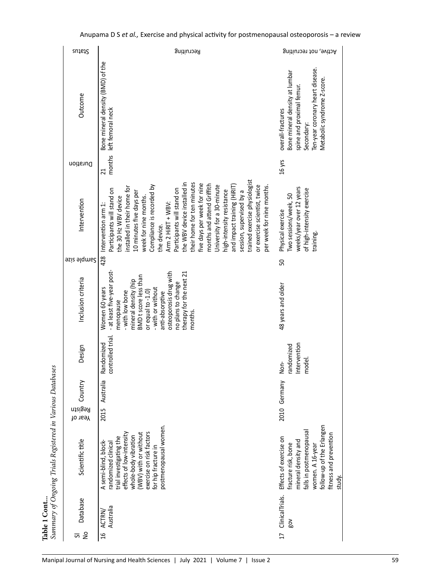| Ten-year coronary heart disease.<br>Bone mineral density at lumbar<br>Metabolic syndrome Z-score.<br>spine and proximal femur.<br>overall-fractures<br>Secondary:                    |
|--------------------------------------------------------------------------------------------------------------------------------------------------------------------------------------|
|                                                                                                                                                                                      |
| 16 yrs                                                                                                                                                                               |
| weeks/year over 12 years<br>of high-intensity exercise<br>Two sessions/week, 50<br>Physical exercise<br>training                                                                     |
| S                                                                                                                                                                                    |
| 48 years and older                                                                                                                                                                   |
| ntervention<br>andomized<br>model.<br>Non-                                                                                                                                           |
| 2010 Germany                                                                                                                                                                         |
| follow-up of the Erlangen<br>falls in postmenopausal<br>fitness and prevention<br>Effects of exercise on<br>mineral density and<br>fracture risk, bone<br>women. A 16-year<br>study. |
| ClinicalTrials.<br>δN                                                                                                                                                                |
| $\overline{17}$                                                                                                                                                                      |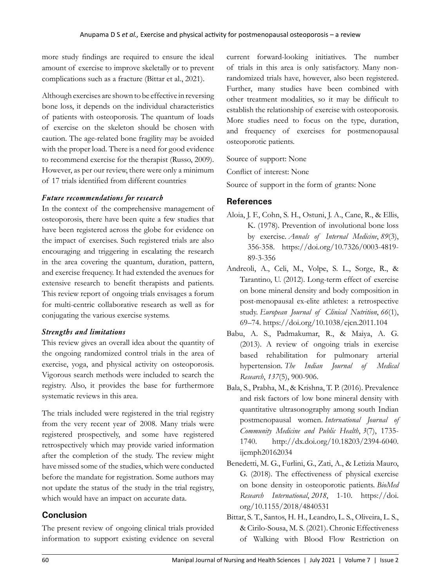more study findings are required to ensure the ideal amount of exercise to improve skeletally or to prevent complications such as a fracture (Bittar et al., 2021).

Although exercises are shown to be effective in reversing bone loss, it depends on the individual characteristics of patients with osteoporosis. The quantum of loads of exercise on the skeleton should be chosen with caution. The age-related bone fragility may be avoided with the proper load. There is a need for good evidence to recommend exercise for the therapist (Russo, 2009). However, as per our review, there were only a minimum of 17 trials identified from different countries

#### *Future recommendations for research*

In the context of the comprehensive management of osteoporosis, there have been quite a few studies that have been registered across the globe for evidence on the impact of exercises. Such registered trials are also encouraging and triggering in escalating the research in the area covering the quantum, duration, pattern, and exercise frequency. It had extended the avenues for extensive research to benefit therapists and patients. This review report of ongoing trials envisages a forum for multi-centric collaborative research as well as for conjugating the various exercise systems.

#### *Strengths and limitations*

This review gives an overall idea about the quantity of the ongoing randomized control trials in the area of exercise, yoga, and physical activity on osteoporosis. Vigorous search methods were included to search the registry. Also, it provides the base for furthermore systematic reviews in this area.

The trials included were registered in the trial registry from the very recent year of 2008. Many trials were registered prospectively, and some have registered retrospectively which may provide varied information after the completion of the study. The review might have missed some of the studies, which were conducted before the mandate for registration. Some authors may not update the status of the study in the trial registry, which would have an impact on accurate data.

### **Conclusion**

The present review of ongoing clinical trials provided information to support existing evidence on several current forward-looking initiatives. The number of trials in this area is only satisfactory. Many nonrandomized trials have, however, also been registered. Further, many studies have been combined with other treatment modalities, so it may be difficult to establish the relationship of exercise with osteoporosis. More studies need to focus on the type, duration, and frequency of exercises for postmenopausal osteoporotic patients.

Source of support: None

Conflict of interest: None

Source of support in the form of grants: None

### **References**

- Aloia, J. F., Cohn, S. H., Ostuni, J. A., Cane, R., & Ellis, K. (1978). Prevention of involutional bone loss by exercise. *Annals of Internal Medicine*, *89*(3), 356-358. https://doi.org/10.7326/0003-4819- 89-3-356
- Andreoli, A., Celi, M., Volpe, S. L., Sorge, R., & Tarantino, U. (2012). Long-term effect of exercise on bone mineral density and body composition in post-menopausal ex-elite athletes: a retrospective study. *European Journal of Clinical Nutrition*, *66*(1), 69–74. https://doi.org/10.1038/ejcn.2011.104
- Babu, A. S., Padmakumar, R., & Maiya, A. G. (2013). A review of ongoing trials in exercise based rehabilitation for pulmonary arterial hypertension. *The Indian Journal of Medical Research*, *137*(5), 900-906.
- Bala, S., Prabha, M., & Krishna, T. P. (2016). Prevalence and risk factors of low bone mineral density with quantitative ultrasonography among south Indian postmenopausal women. *International Journal of Community Medicine and Public Health*, *3*(7), 1735- 1740. http://dx.doi.org/10.18203/2394-6040. ijcmph20162034
- Benedetti, M. G., Furlini, G., Zati, A., & Letizia Mauro, G. (2018). The effectiveness of physical exercise on bone density in osteoporotic patients. *BioMed Research International*, *2018*, 1-10. https://doi. org/10.1155/2018/4840531
- Bittar, S. T., Santos, H. H., Leandro, L. S., Oliveira, L. S., & Cirilo-Sousa, M. S. (2021). Chronic Effectiveness of Walking with Blood Flow Restriction on